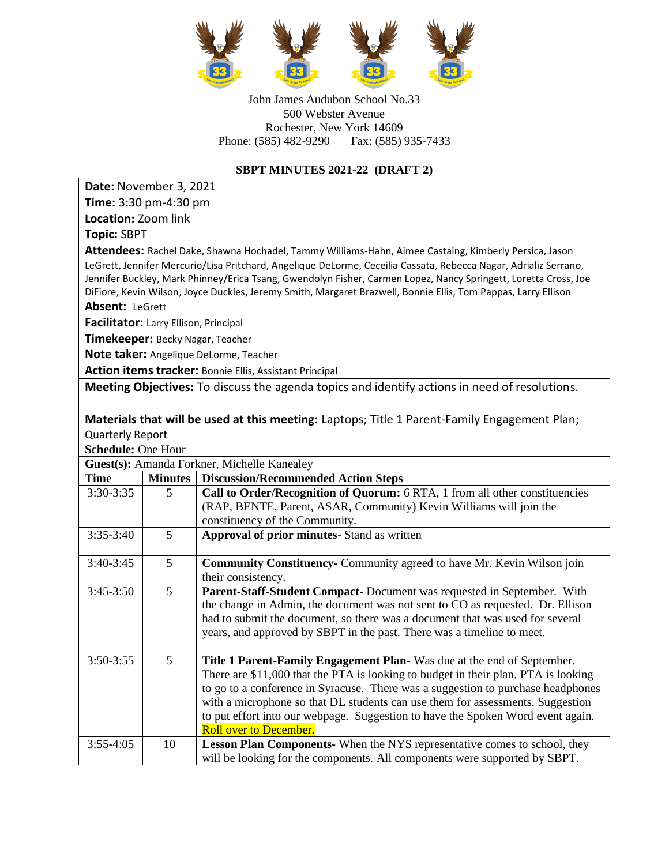

John James Audubon School No.33 500 Webster Avenue Rochester, New York 14609 Phone: (585) 482-9290 Fax: (585) 935-7433

## **SBPT MINUTES 2021-22 (DRAFT 2)**

**Date:** November 3, 2021 **Time:** 3:30 pm-4:30 pm

**Location:** Zoom link

**Topic:** SBPT

**Attendees:** Rachel Dake, Shawna Hochadel, Tammy Williams-Hahn, Aimee Castaing, Kimberly Persica, Jason LeGrett, Jennifer Mercurio/Lisa Pritchard, Angelique DeLorme, Ceceilia Cassata, Rebecca Nagar, Adrializ Serrano, Jennifer Buckley, Mark Phinney/Erica Tsang, Gwendolyn Fisher, Carmen Lopez, Nancy Springett, Loretta Cross, Joe DiFiore, Kevin Wilson, Joyce Duckles, Jeremy Smith, Margaret Brazwell, Bonnie Ellis, Tom Pappas, Larry Ellison

**Absent:** LeGrett

**Facilitator:** Larry Ellison, Principal

**Timekeeper:** Becky Nagar, Teacher

**Note taker:** Angelique DeLorme, Teacher

**Action items tracker:** Bonnie Ellis, Assistant Principal

**Meeting Objectives:** To discuss the agenda topics and identify actions in need of resolutions.

**Materials that will be used at this meeting:** Laptops; Title 1 Parent-Family Engagement Plan; Quarterly Report

| <b>Schedule: One Hour</b>                   |                 |                                                                                    |  |
|---------------------------------------------|-----------------|------------------------------------------------------------------------------------|--|
| Guest(s): Amanda Forkner, Michelle Kanealey |                 |                                                                                    |  |
| <b>Time</b>                                 | <b>Minutes</b>  | <b>Discussion/Recommended Action Steps</b>                                         |  |
| 3:30-3:35                                   | 5               | Call to Order/Recognition of Quorum: 6 RTA, 1 from all other constituencies        |  |
|                                             |                 | (RAP, BENTE, Parent, ASAR, Community) Kevin Williams will join the                 |  |
|                                             |                 | constituency of the Community.                                                     |  |
| $3:35-3:40$                                 | 5               | <b>Approval of prior minutes-</b> Stand as written                                 |  |
|                                             |                 |                                                                                    |  |
| $3:40-3:45$                                 | $5\overline{)}$ | <b>Community Constituency-</b> Community agreed to have Mr. Kevin Wilson join      |  |
|                                             |                 | their consistency.                                                                 |  |
| $3:45-3:50$                                 | 5               | Parent-Staff-Student Compact- Document was requested in September. With            |  |
|                                             |                 | the change in Admin, the document was not sent to CO as requested. Dr. Ellison     |  |
|                                             |                 | had to submit the document, so there was a document that was used for several      |  |
|                                             |                 | years, and approved by SBPT in the past. There was a timeline to meet.             |  |
|                                             |                 |                                                                                    |  |
| 3:50-3:55                                   | $5\overline{)}$ | Title 1 Parent-Family Engagement Plan-Was due at the end of September.             |  |
|                                             |                 | There are \$11,000 that the PTA is looking to budget in their plan. PTA is looking |  |
|                                             |                 | to go to a conference in Syracuse. There was a suggestion to purchase headphones   |  |
|                                             |                 | with a microphone so that DL students can use them for assessments. Suggestion     |  |
|                                             |                 | to put effort into our webpage. Suggestion to have the Spoken Word event again.    |  |
|                                             |                 | <b>Roll over to December.</b>                                                      |  |
| $3:55-4:05$                                 | 10              | <b>Lesson Plan Components-</b> When the NYS representative comes to school, they   |  |
|                                             |                 | will be looking for the components. All components were supported by SBPT.         |  |